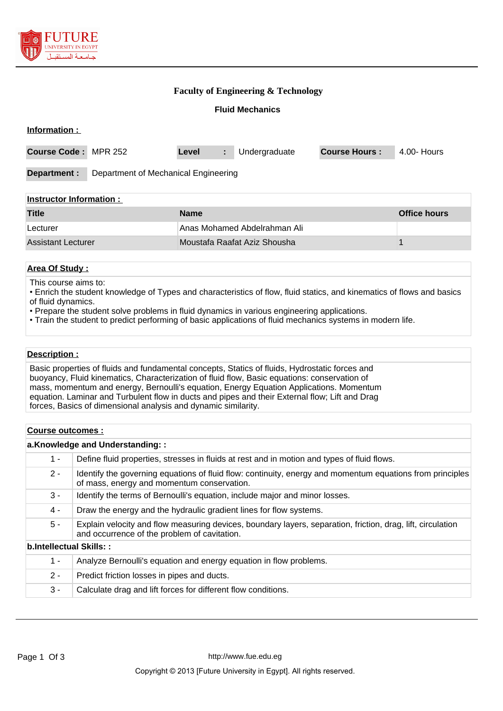

## **Faculty of Engineering & Technology**

## **Fluid Mechanics**

| Information :                  |                                      |                              |    |               |                      |             |
|--------------------------------|--------------------------------------|------------------------------|----|---------------|----------------------|-------------|
| <b>Course Code:</b>            | MPR 252                              | Level                        | ÷. | Undergraduate | <b>Course Hours:</b> | 4.00- Hours |
| Department :                   | Department of Mechanical Engineering |                              |    |               |                      |             |
| <b>Instructor Information:</b> |                                      |                              |    |               |                      |             |
| <b>Title</b>                   |                                      | <b>Name</b>                  |    |               | <b>Office hours</b>  |             |
| Lecturer                       | Anas Mohamed Abdelrahman Ali         |                              |    |               |                      |             |
| <b>Assistant Lecturer</b>      |                                      | Moustafa Raafat Aziz Shousha |    |               |                      |             |

## **Area Of Study :**

This course aims to:

- Enrich the student knowledge of Types and characteristics of flow, fluid statics, and kinematics of flows and basics of fluid dynamics.
- Prepare the student solve problems in fluid dynamics in various engineering applications.
- Train the student to predict performing of basic applications of fluid mechanics systems in modern life.

#### **Description :**

Basic properties of fluids and fundamental concepts, Statics of fluids, Hydrostatic forces and buoyancy, Fluid kinematics, Characterization of fluid flow, Basic equations: conservation of mass, momentum and energy, Bernoulli's equation, Energy Equation Applications. Momentum equation. Laminar and Turbulent flow in ducts and pipes and their External flow; Lift and Drag forces, Basics of dimensional analysis and dynamic similarity.

#### **Course outcomes :**

|                         | a.Knowledge and Understanding::                                                                                                                             |  |  |  |
|-------------------------|-------------------------------------------------------------------------------------------------------------------------------------------------------------|--|--|--|
| $1 -$                   | Define fluid properties, stresses in fluids at rest and in motion and types of fluid flows.                                                                 |  |  |  |
| $2 -$                   | Identify the governing equations of fluid flow: continuity, energy and momentum equations from principles<br>of mass, energy and momentum conservation.     |  |  |  |
| 3 -                     | Identify the terms of Bernoulli's equation, include major and minor losses.                                                                                 |  |  |  |
| 4 -                     | Draw the energy and the hydraulic gradient lines for flow systems.                                                                                          |  |  |  |
| $5 -$                   | Explain velocity and flow measuring devices, boundary layers, separation, friction, drag, lift, circulation<br>and occurrence of the problem of cavitation. |  |  |  |
| b.Intellectual Skills:: |                                                                                                                                                             |  |  |  |
| $1 -$                   | Analyze Bernoulli's equation and energy equation in flow problems.                                                                                          |  |  |  |
| $2 -$                   | Predict friction losses in pipes and ducts.                                                                                                                 |  |  |  |
| $3 -$                   | Calculate drag and lift forces for different flow conditions.                                                                                               |  |  |  |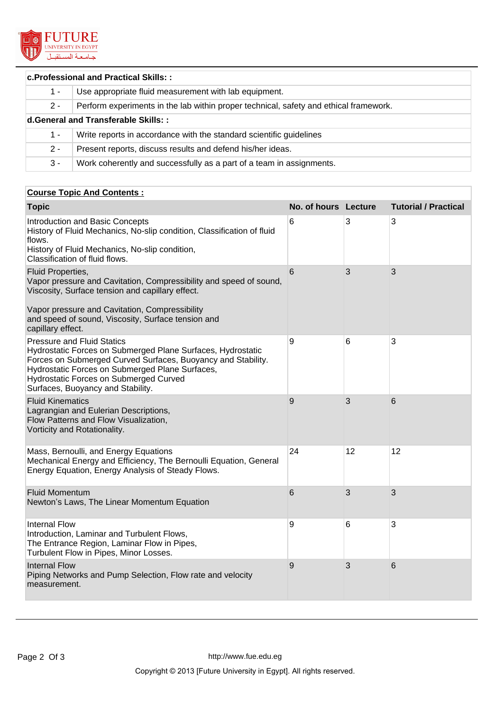

## **c.Professional and Practical Skills: :**

| $1 -$                                | Use appropriate fluid measurement with lab equipment.                                 |  |  |
|--------------------------------------|---------------------------------------------------------------------------------------|--|--|
| $2 -$                                | Perform experiments in the lab within proper technical, safety and ethical framework. |  |  |
| d. General and Transferable Skills:: |                                                                                       |  |  |
| 1 -                                  | Write reports in accordance with the standard scientific guidelines                   |  |  |
| $2 -$                                | Present reports, discuss results and defend his/her ideas.                            |  |  |
| $3 -$                                | Work coherently and successfully as a part of a team in assignments.                  |  |  |

# **Course Topic And Contents :**

|    |    | <b>Tutorial / Practical</b> |
|----|----|-----------------------------|
| 6  | 3  | 3                           |
| 6  | 3  | 3                           |
|    |    |                             |
| 9  | 6  | 3                           |
| 9  | 3  | 6                           |
| 24 | 12 | 12                          |
| 6  | 3  | 3                           |
| 9  | 6  | 3                           |
| 9  | 3  | 6                           |
|    |    | No. of hours Lecture        |